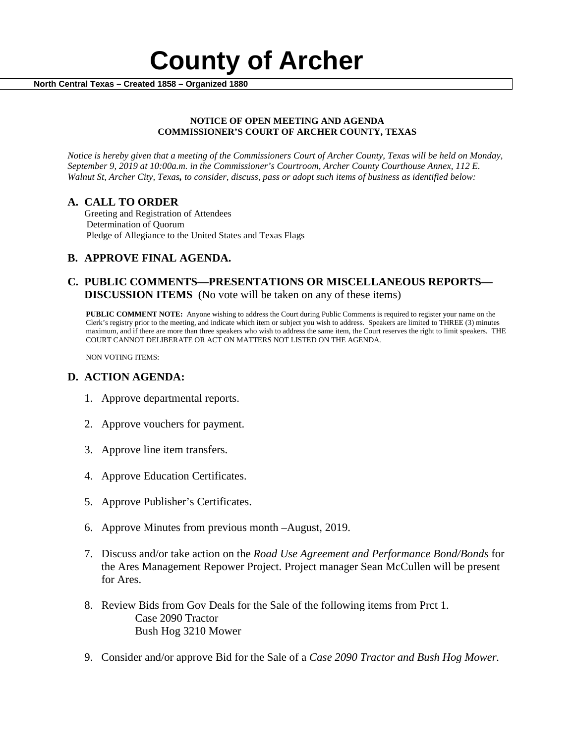

### **NOTICE OF OPEN MEETING AND AGENDA COMMISSIONER'S COURT OF ARCHER COUNTY, TEXAS**

*Notice is hereby given that a meeting of the Commissioners Court of Archer County, Texas will be held on Monday, September 9, 2019 at 10:00a.m. in the Commissioner's Courtroom, Archer County Courthouse Annex, 112 E. Walnut St, Archer City, Texas, to consider, discuss, pass or adopt such items of business as identified below:*

**A. CALL TO ORDER** Greeting and Registration of Attendees Determination of Quorum Pledge of Allegiance to the United States and Texas Flags

# **B. APPROVE FINAL AGENDA.**

# **C. PUBLIC COMMENTS—PRESENTATIONS OR MISCELLANEOUS REPORTS— DISCUSSION ITEMS** (No vote will be taken on any of these items)

**PUBLIC COMMENT NOTE:** Anyone wishing to address the Court during Public Comments is required to register your name on the Clerk's registry prior to the meeting, and indicate which item or subject you wish to address. Speakers are limited to THREE (3) minutes maximum, and if there are more than three speakers who wish to address the same item, the Court reserves the right to limit speakers. THE COURT CANNOT DELIBERATE OR ACT ON MATTERS NOT LISTED ON THE AGENDA.

NON VOTING ITEMS:

## **D. ACTION AGENDA:**

- 1. Approve departmental reports.
- 2. Approve vouchers for payment.
- 3. Approve line item transfers.
- 4. Approve Education Certificates.
- 5. Approve Publisher's Certificates.
- 6. Approve Minutes from previous month –August, 2019.
- 7. Discuss and/or take action on the *Road Use Agreement and Performance Bond/Bonds* for the Ares Management Repower Project. Project manager Sean McCullen will be present for Ares.
- 8. Review Bids from Gov Deals for the Sale of the following items from Prct 1. Case 2090 Tractor Bush Hog 3210 Mower
- 9. Consider and/or approve Bid for the Sale of a *Case 2090 Tractor and Bush Hog Mower.*